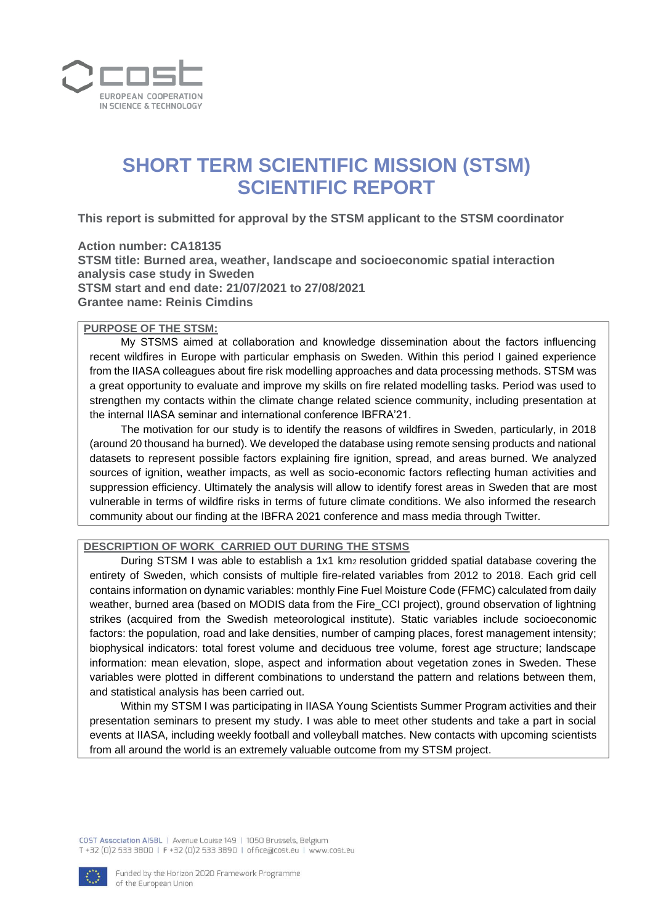

# **SHORT TERM SCIENTIFIC MISSION (STSM) SCIENTIFIC REPORT**

**This report is submitted for approval by the STSM applicant to the STSM coordinator** 

**Action number: CA18135 STSM title: Burned area, weather, landscape and socioeconomic spatial interaction analysis case study in Sweden STSM start and end date: 21/07/2021 to 27/08/2021 Grantee name: Reinis Cimdins**

#### **PURPOSE OF THE STSM:**

My STSMS aimed at collaboration and knowledge dissemination about the factors influencing recent wildfires in Europe with particular emphasis on Sweden. Within this period I gained experience from the IIASA colleagues about fire risk modelling approaches and data processing methods. STSM was a great opportunity to evaluate and improve my skills on fire related modelling tasks. Period was used to strengthen my contacts within the climate change related science community, including presentation at the internal IIASA seminar and international conference IBFRA'21.

The motivation for our study is to identify the reasons of wildfires in Sweden, particularly, in 2018 (around 20 thousand ha burned). We developed the database using remote sensing products and national datasets to represent possible factors explaining fire ignition, spread, and areas burned. We analyzed sources of ignition, weather impacts, as well as socio-economic factors reflecting human activities and suppression efficiency. Ultimately the analysis will allow to identify forest areas in Sweden that are most vulnerable in terms of wildfire risks in terms of future climate conditions. We also informed the research community about our finding at the IBFRA 2021 conference and mass media through Twitter.

### **DESCRIPTION OF WORK CARRIED OUT DURING THE STSMS**

During STSM I was able to establish a 1x1 km2 resolution gridded spatial database covering the entirety of Sweden, which consists of multiple fire-related variables from 2012 to 2018. Each grid cell contains information on dynamic variables: monthly Fine Fuel Moisture Code (FFMC) calculated from daily weather, burned area (based on MODIS data from the Fire\_CCI project), ground observation of lightning strikes (acquired from the Swedish meteorological institute). Static variables include socioeconomic factors: the population, road and lake densities, number of camping places, forest management intensity; biophysical indicators: total forest volume and deciduous tree volume, forest age structure; landscape information: mean elevation, slope, aspect and information about vegetation zones in Sweden. These variables were plotted in different combinations to understand the pattern and relations between them, and statistical analysis has been carried out.

Within my STSM I was participating in IIASA Young Scientists Summer Program activities and their presentation seminars to present my study. I was able to meet other students and take a part in social events at IIASA, including weekly football and volleyball matches. New contacts with upcoming scientists from all around the world is an extremely valuable outcome from my STSM project.

COST Association AISBL | Avenue Louise 149 | 1050 Brussels, Belgium T+32 (0)2 533 3800 | F+32 (0)2 533 3890 | office@cost.eu | www.cost.eu